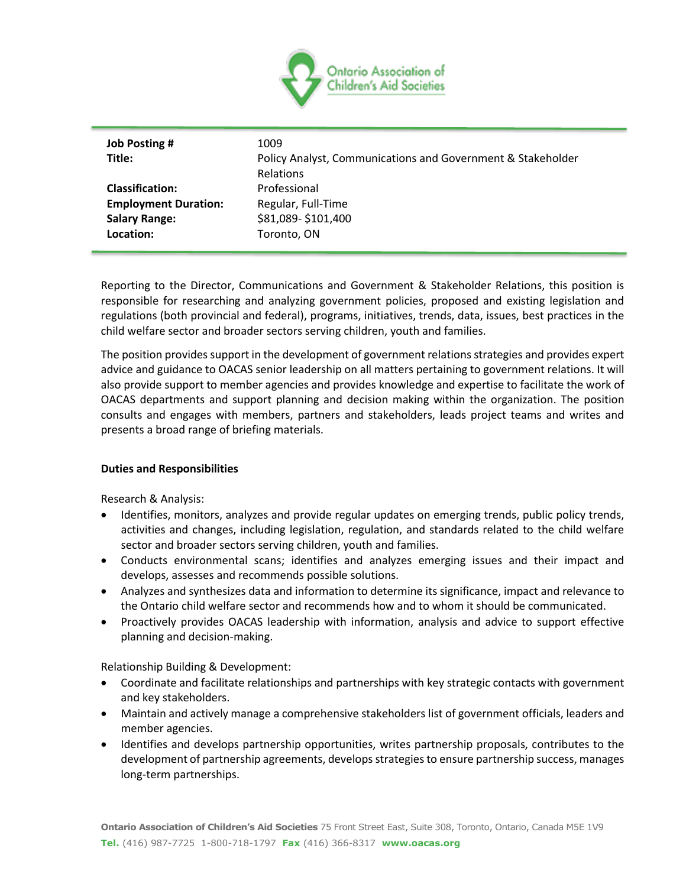

| <b>Job Posting #</b>        | 1009                                                        |
|-----------------------------|-------------------------------------------------------------|
| Title:                      | Policy Analyst, Communications and Government & Stakeholder |
|                             | <b>Relations</b>                                            |
| <b>Classification:</b>      | Professional                                                |
| <b>Employment Duration:</b> | Regular, Full-Time                                          |
| <b>Salary Range:</b>        | \$81,089-\$101,400                                          |
| Location:                   | Toronto, ON                                                 |
|                             |                                                             |

Reporting to the Director, Communications and Government & Stakeholder Relations, this position is responsible for researching and analyzing government policies, proposed and existing legislation and regulations (both provincial and federal), programs, initiatives, trends, data, issues, best practices in the child welfare sector and broader sectors serving children, youth and families.

The position provides support in the development of government relations strategies and provides expert advice and guidance to OACAS senior leadership on all matters pertaining to government relations. It will also provide support to member agencies and provides knowledge and expertise to facilitate the work of OACAS departments and support planning and decision making within the organization. The position consults and engages with members, partners and stakeholders, leads project teams and writes and presents a broad range of briefing materials.

# **Duties and Responsibilities**

Research & Analysis:

- Identifies, monitors, analyzes and provide regular updates on emerging trends, public policy trends, activities and changes, including legislation, regulation, and standards related to the child welfare sector and broader sectors serving children, youth and families.
- Conducts environmental scans; identifies and analyzes emerging issues and their impact and develops, assesses and recommends possible solutions.
- Analyzes and synthesizes data and information to determine its significance, impact and relevance to the Ontario child welfare sector and recommends how and to whom it should be communicated.
- Proactively provides OACAS leadership with information, analysis and advice to support effective planning and decision-making.

Relationship Building & Development:

- Coordinate and facilitate relationships and partnerships with key strategic contacts with government and key stakeholders.
- Maintain and actively manage a comprehensive stakeholders list of government officials, leaders and member agencies.
- Identifies and develops partnership opportunities, writes partnership proposals, contributes to the development of partnership agreements, develops strategies to ensure partnership success, manages long-term partnerships.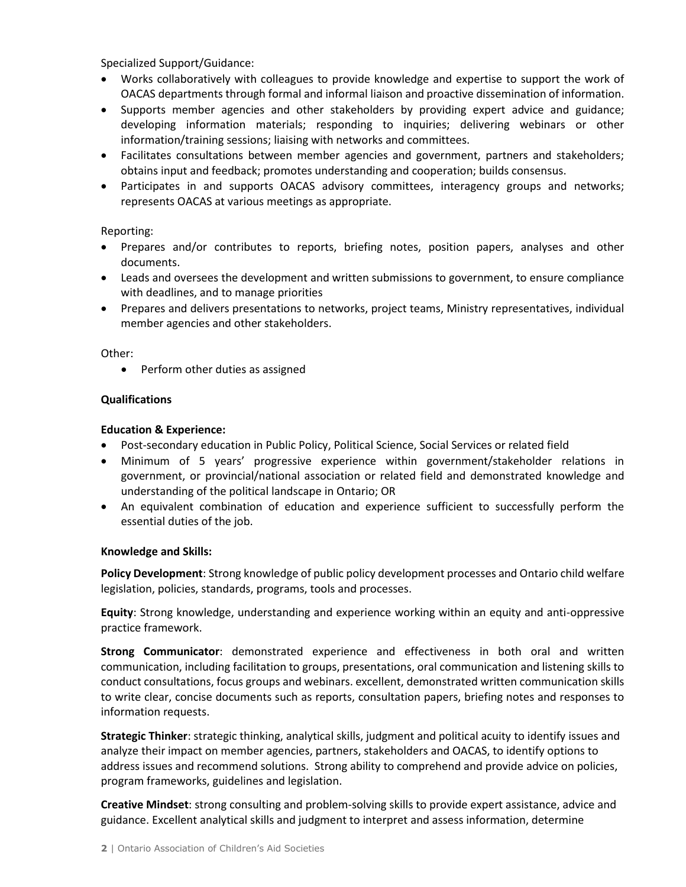Specialized Support/Guidance:

- Works collaboratively with colleagues to provide knowledge and expertise to support the work of OACAS departments through formal and informal liaison and proactive dissemination of information.
- Supports member agencies and other stakeholders by providing expert advice and guidance; developing information materials; responding to inquiries; delivering webinars or other information/training sessions; liaising with networks and committees.
- Facilitates consultations between member agencies and government, partners and stakeholders; obtains input and feedback; promotes understanding and cooperation; builds consensus.
- Participates in and supports OACAS advisory committees, interagency groups and networks; represents OACAS at various meetings as appropriate.

# Reporting:

- Prepares and/or contributes to reports, briefing notes, position papers, analyses and other documents.
- Leads and oversees the development and written submissions to government, to ensure compliance with deadlines, and to manage priorities
- Prepares and delivers presentations to networks, project teams, Ministry representatives, individual member agencies and other stakeholders.

### Other:

• Perform other duties as assigned

# **Qualifications**

### **Education & Experience:**

- Post-secondary education in Public Policy, Political Science, Social Services or related field
- Minimum of 5 years' progressive experience within government/stakeholder relations in government, or provincial/national association or related field and demonstrated knowledge and understanding of the political landscape in Ontario; OR
- An equivalent combination of education and experience sufficient to successfully perform the essential duties of the job.

#### **Knowledge and Skills:**

**Policy Development**: Strong knowledge of public policy development processes and Ontario child welfare legislation, policies, standards, programs, tools and processes.

**Equity**: Strong knowledge, understanding and experience working within an equity and anti-oppressive practice framework.

**Strong Communicator**: demonstrated experience and effectiveness in both oral and written communication, including facilitation to groups, presentations, oral communication and listening skills to conduct consultations, focus groups and webinars. excellent, demonstrated written communication skills to write clear, concise documents such as reports, consultation papers, briefing notes and responses to information requests.

**Strategic Thinker**: strategic thinking, analytical skills, judgment and political acuity to identify issues and analyze their impact on member agencies, partners, stakeholders and OACAS, to identify options to address issues and recommend solutions. Strong ability to comprehend and provide advice on policies, program frameworks, guidelines and legislation.

**Creative Mindset**: strong consulting and problem-solving skills to provide expert assistance, advice and guidance. Excellent analytical skills and judgment to interpret and assess information, determine